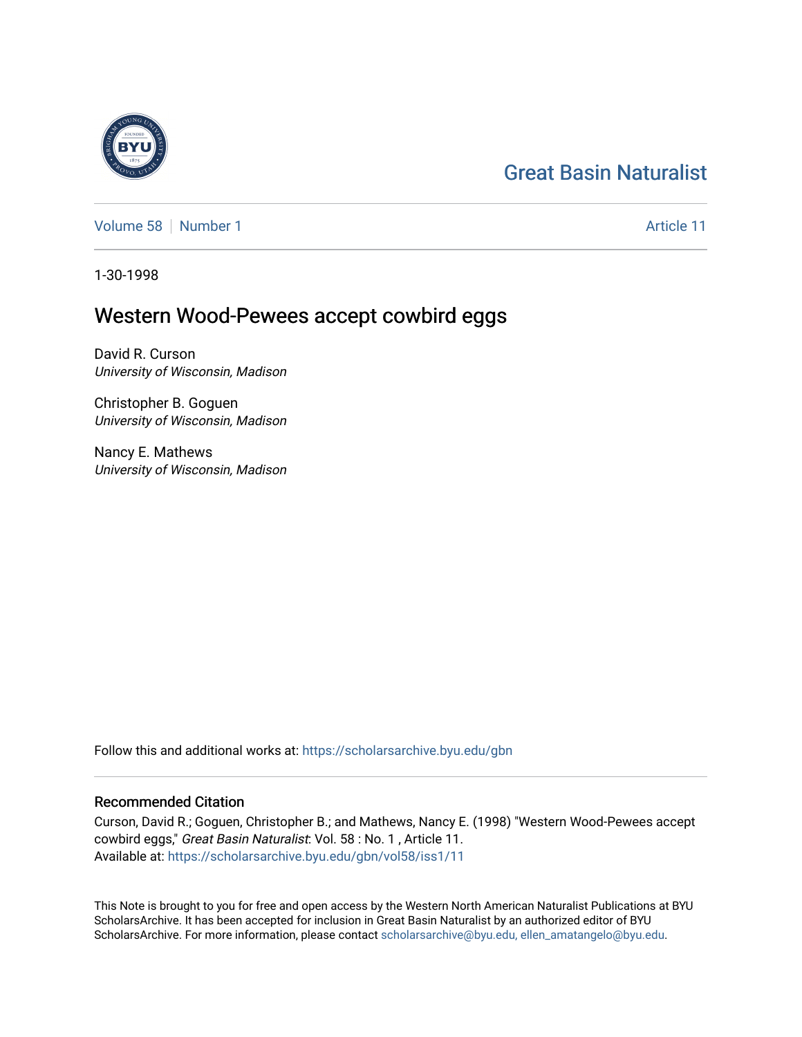### [Great Basin Naturalist](https://scholarsarchive.byu.edu/gbn)

[Volume 58](https://scholarsarchive.byu.edu/gbn/vol58) [Number 1](https://scholarsarchive.byu.edu/gbn/vol58/iss1) [Article 11](https://scholarsarchive.byu.edu/gbn/vol58/iss1/11) Article 11

1-30-1998

#### Western Wood-Pewees accept cowbird eggs

David R. Curson University of Wisconsin, Madison

Christopher B. Goguen University of Wisconsin, Madison

Nancy E. Mathews University of Wisconsin, Madison

Follow this and additional works at: [https://scholarsarchive.byu.edu/gbn](https://scholarsarchive.byu.edu/gbn?utm_source=scholarsarchive.byu.edu%2Fgbn%2Fvol58%2Fiss1%2F11&utm_medium=PDF&utm_campaign=PDFCoverPages) 

#### Recommended Citation

Curson, David R.; Goguen, Christopher B.; and Mathews, Nancy E. (1998) "Western Wood-Pewees accept cowbird eggs," Great Basin Naturalist: Vol. 58 : No. 1 , Article 11. Available at: [https://scholarsarchive.byu.edu/gbn/vol58/iss1/11](https://scholarsarchive.byu.edu/gbn/vol58/iss1/11?utm_source=scholarsarchive.byu.edu%2Fgbn%2Fvol58%2Fiss1%2F11&utm_medium=PDF&utm_campaign=PDFCoverPages) 

This Note is brought to you for free and open access by the Western North American Naturalist Publications at BYU ScholarsArchive. It has been accepted for inclusion in Great Basin Naturalist by an authorized editor of BYU ScholarsArchive. For more information, please contact [scholarsarchive@byu.edu, ellen\\_amatangelo@byu.edu.](mailto:scholarsarchive@byu.edu,%20ellen_amatangelo@byu.edu)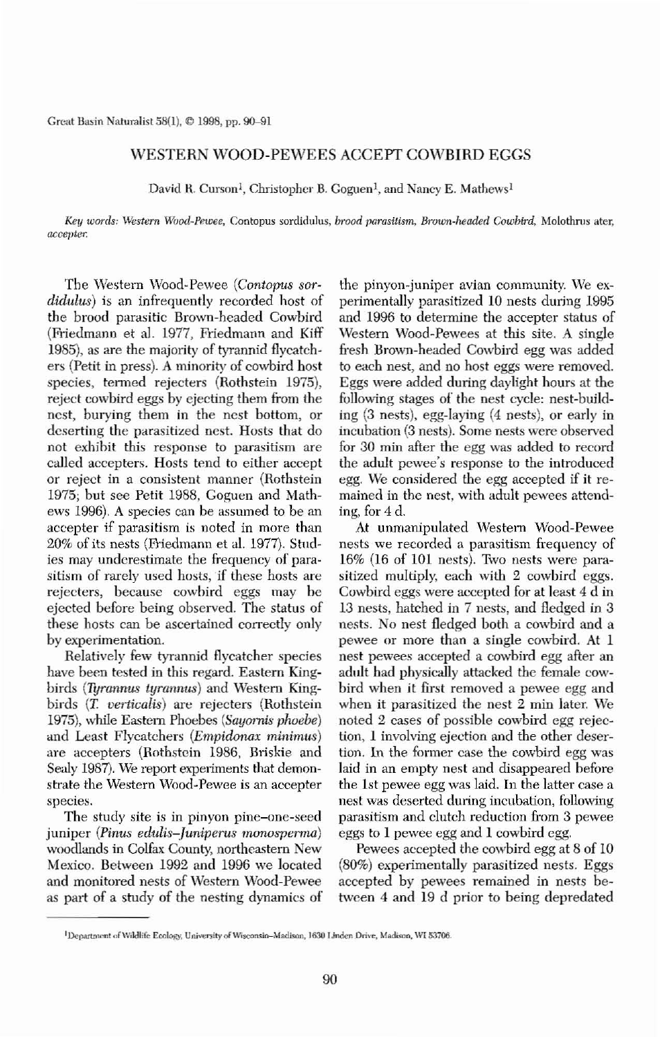Great Basin Naturalist  $58(1)$ ,  $\odot$  1998, pp. 90-91

## WESTERN WOOD-PEWEES ACCEPT COWBIRD EGGS

David R. Curson<sup>1</sup>, Christopher B. Goguen<sup>1</sup>, and Nancy E. Mathews<sup>1</sup>

*Key words: Western Wood-Pewee, Contopus sordidulus, <i>brood parasitism, Brown-headed Cowbird, Molothrus ater,* accepter.

The Western Wood-Pewee (Contopus sordidulus) is an infrequently recorded host of the brood parasitic Brown-headed Cowbird (Friedmann et al. 1977, Friedmann and Kill' 1985), as are the majority of tyrannid flycatch. ers (Petit in press). A minority of cowbird bost species, termed rejecters (Rothstein 1975), reject cowbird eggs by ejecting them from the ncst, burying them in the ncst bottom, or deserting the parasitized nest. Hosts that do not exhihit this response to parasitism are called accepters. Hosts tend to either accept or reject in a consistent manner (Rothstein 1975; but see Petit 1988, Goguen and Mathews 1996). A species can be assumed to be an accepter if parasitism is noted in more than 20% of its nests (Friedmann et a1. 1977). Studies may underestimate the frequency of parasitism of rarely used hosts, if these hosts are rejecters, because cowhird eggs may he ejected before being observed. The status of these hosts can be ascertained correctly only by experimentation. Relatively few tyrannid flycatcher species have been tested in this regard. Eastern King. birds *(Tyrannus tyrannus)* and Western Kingbirds *(T. verticalis)* are rejecters *(Rothstein*) 1975), while Eastern Phoebes *(Sayomis phoebe)* and Least Flycatchers *(Empidonax minimus)* are accepters (Rothstein 1986, Briskie and Sealy 1987). We report experiments that demonstrate the Western Wood-Pewee is an accepter species. The study site is in pinyon pine-one-seed juniper *(Pinus edulis-Juniperus monosperma)* woodlands in Colfax County, northeastern New Mexico. Between 1992 and 1996 we located and monitored nests of *Western Wood-Pewee* as part of a study of the nesting dynamics of

the pinyon-juniper avian community. We experimentally parasitized 10 nests during 1995 and 1996 to determine the accepter status of Western Wood-Pewees at this site. A single fresh Brown-headed Cowbird egg was added to each nest, and no host eggs were removed. Eggs were added during daylight hours at the following stages of the nest cycle: nest-build· ing (3 nests), egg-laying (4 nests), or early in incubation (3 nests). Some nests were observed for 30 min after the egg was added to record the adult pewee's response to the introduced egg. We considered the egg accepted if it remained in the nest, with adult pewees attending, for 4 d. At unmanipulated Western Weod-Pewee nests we recorded a parasitism frequency of  $16\%$  (16 of 101 nests). Two nests were parasitized multiply, each with 2 cowbird eggs. Cowbird eggs were accepted for at least 4 d in 13 nests, hatched in 7 nests, and fledged in 3 nests. No nest fledged both a cowbird and a pewee or more than a single cowbird. At 1 nest pewees accepted a cowbird egg after an adult had physically attacked the female cowbird when it first removed a pewee egg and when it parasitized the nest 2 min later. We noted 2 cases of possible cowbird egg rejection, 1 involving ejection and the other desertion. In the former case the cowbird egg was laid in an empty nest and disappeared hefore the 1st pewee egg was laid. In the latter case a nest was deserted during incubation, following parasitism and clutch reduction from 3 pewee eggs to 1 pewee egg and 1 eowbird egg. Pewees accepted the cowbird egg at 8 of 10 (80%) experimentally parasitized nests. Eggs accepted by pewees remained in nests be~ twcen 4 and 19 d prior to being depredated



90